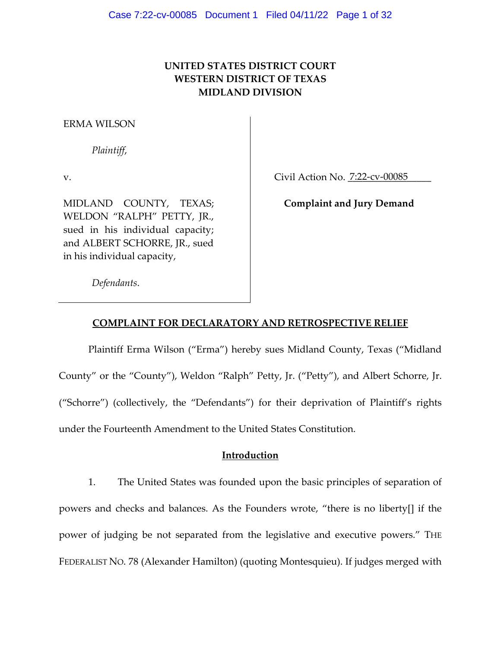# **UNITED STATES DISTRICT COURT WESTERN DISTRICT OF TEXAS MIDLAND DIVISION**

#### ERMA WILSON

*Plaintiff*,

v.

Civil Action No. 7:22-cv-00085

MIDLAND COUNTY, TEXAS; WELDON "RALPH" PETTY, JR., sued in his individual capacity; and ALBERT SCHORRE, JR., sued in his individual capacity,

**Complaint and Jury Demand** 

*Defendants*.

## **COMPLAINT FOR DECLARATORY AND RETROSPECTIVE RELIEF**

Plaintiff Erma Wilson ("Erma") hereby sues Midland County, Texas ("Midland County" or the "County"), Weldon "Ralph" Petty, Jr. ("Petty"), and Albert Schorre, Jr. ("Schorre") (collectively, the "Defendants") for their deprivation of Plaintiff's rights under the Fourteenth Amendment to the United States Constitution.

## **Introduction**

1. The United States was founded upon the basic principles of separation of powers and checks and balances. As the Founders wrote, "there is no liberty[] if the power of judging be not separated from the legislative and executive powers." THE FEDERALIST NO. 78 (Alexander Hamilton) (quoting Montesquieu). If judges merged with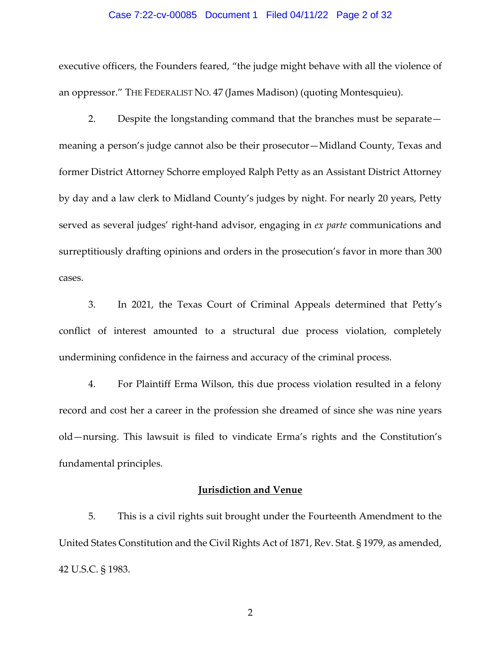#### Case 7:22-cv-00085 Document 1 Filed 04/11/22 Page 2 of 32

executive officers, the Founders feared, "the judge might behave with all the violence of an oppressor." THE FEDERALIST NO. 47 (James Madison) (quoting Montesquieu).

2. Despite the longstanding command that the branches must be separate meaning a person's judge cannot also be their prosecutor—Midland County, Texas and former District Attorney Schorre employed Ralph Petty as an Assistant District Attorney by day and a law clerk to Midland County's judges by night. For nearly 20 years, Petty served as several judges' right-hand advisor, engaging in *ex parte* communications and surreptitiously drafting opinions and orders in the prosecution's favor in more than 300 cases.

3. In 2021, the Texas Court of Criminal Appeals determined that Petty's conflict of interest amounted to a structural due process violation, completely undermining confidence in the fairness and accuracy of the criminal process.

4. For Plaintiff Erma Wilson, this due process violation resulted in a felony record and cost her a career in the profession she dreamed of since she was nine years old—nursing. This lawsuit is filed to vindicate Erma's rights and the Constitution's fundamental principles.

#### **Jurisdiction and Venue**

5. This is a civil rights suit brought under the Fourteenth Amendment to the United States Constitution and the Civil Rights Act of 1871, Rev. Stat. § 1979, as amended, 42 U.S.C. § 1983.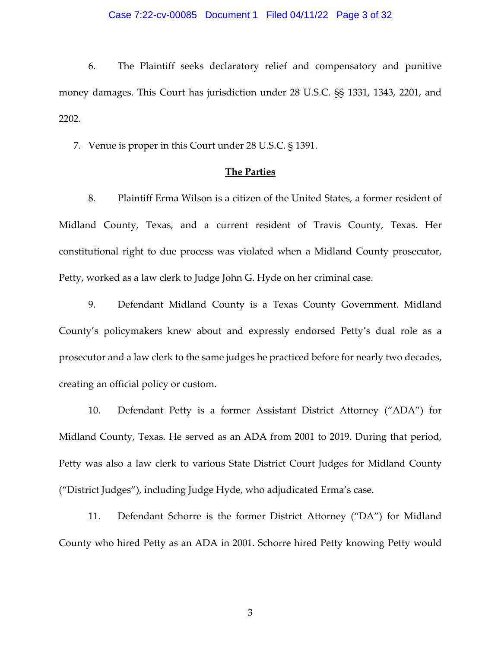## Case 7:22-cv-00085 Document 1 Filed 04/11/22 Page 3 of 32

6. The Plaintiff seeks declaratory relief and compensatory and punitive money damages. This Court has jurisdiction under 28 U.S.C. §§ 1331, 1343, 2201, and 2202.

7. Venue is proper in this Court under 28 U.S.C. § 1391.

## **The Parties**

8. Plaintiff Erma Wilson is a citizen of the United States, a former resident of Midland County, Texas, and a current resident of Travis County, Texas. Her constitutional right to due process was violated when a Midland County prosecutor, Petty, worked as a law clerk to Judge John G. Hyde on her criminal case.

9. Defendant Midland County is a Texas County Government. Midland County's policymakers knew about and expressly endorsed Petty's dual role as a prosecutor and a law clerk to the same judges he practiced before for nearly two decades, creating an official policy or custom.

10. Defendant Petty is a former Assistant District Attorney ("ADA") for Midland County, Texas. He served as an ADA from 2001 to 2019. During that period, Petty was also a law clerk to various State District Court Judges for Midland County ("District Judges"), including Judge Hyde, who adjudicated Erma's case.

11. Defendant Schorre is the former District Attorney ("DA") for Midland County who hired Petty as an ADA in 2001. Schorre hired Petty knowing Petty would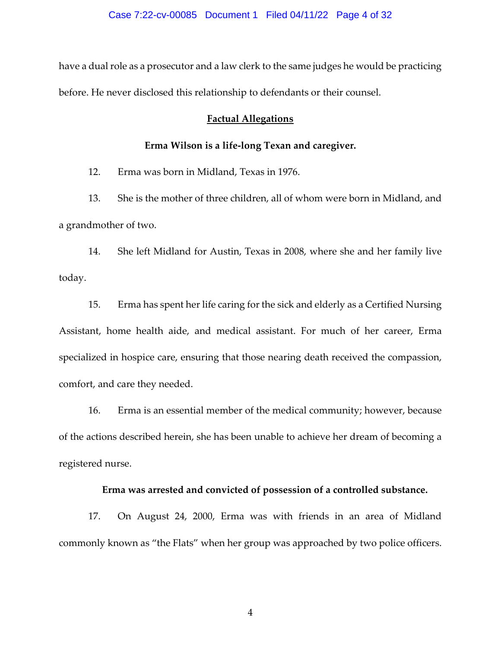have a dual role as a prosecutor and a law clerk to the same judges he would be practicing before. He never disclosed this relationship to defendants or their counsel.

#### **Factual Allegations**

## **Erma Wilson is a life-long Texan and caregiver.**

12. Erma was born in Midland, Texas in 1976.

13. She is the mother of three children, all of whom were born in Midland, and a grandmother of two.

14. She left Midland for Austin, Texas in 2008, where she and her family live today.

15. Erma has spent her life caring for the sick and elderly as a Certified Nursing Assistant, home health aide, and medical assistant. For much of her career, Erma specialized in hospice care, ensuring that those nearing death received the compassion, comfort, and care they needed.

16. Erma is an essential member of the medical community; however, because of the actions described herein, she has been unable to achieve her dream of becoming a registered nurse.

#### **Erma was arrested and convicted of possession of a controlled substance.**

17. On August 24, 2000, Erma was with friends in an area of Midland commonly known as "the Flats" when her group was approached by two police officers.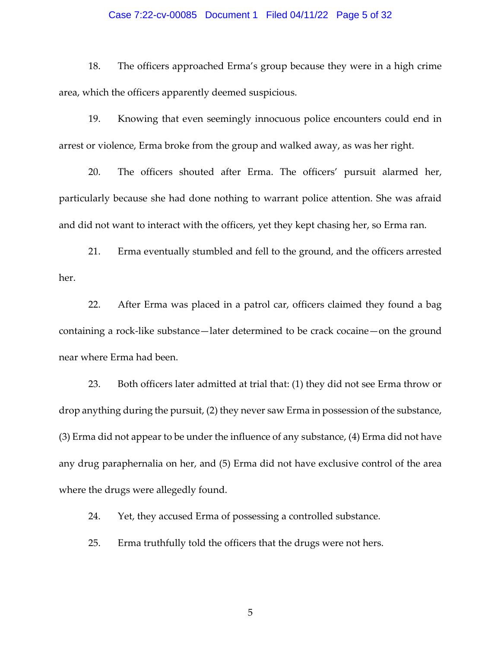#### Case 7:22-cv-00085 Document 1 Filed 04/11/22 Page 5 of 32

18. The officers approached Erma's group because they were in a high crime area, which the officers apparently deemed suspicious.

19. Knowing that even seemingly innocuous police encounters could end in arrest or violence, Erma broke from the group and walked away, as was her right.

20. The officers shouted after Erma. The officers' pursuit alarmed her, particularly because she had done nothing to warrant police attention. She was afraid and did not want to interact with the officers, yet they kept chasing her, so Erma ran.

21. Erma eventually stumbled and fell to the ground, and the officers arrested her.

22. After Erma was placed in a patrol car, officers claimed they found a bag containing a rock-like substance—later determined to be crack cocaine—on the ground near where Erma had been.

23. Both officers later admitted at trial that: (1) they did not see Erma throw or drop anything during the pursuit, (2) they never saw Erma in possession of the substance, (3) Erma did not appear to be under the influence of any substance, (4) Erma did not have any drug paraphernalia on her, and (5) Erma did not have exclusive control of the area where the drugs were allegedly found.

24. Yet, they accused Erma of possessing a controlled substance.

25. Erma truthfully told the officers that the drugs were not hers.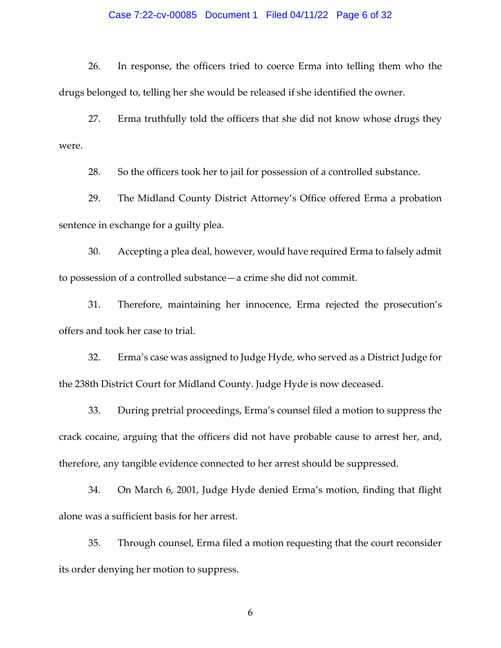#### Case 7:22-cv-00085 Document 1 Filed 04/11/22 Page 6 of 32

26. In response, the officers tried to coerce Erma into telling them who the drugs belonged to, telling her she would be released if she identified the owner.

27. Erma truthfully told the officers that she did not know whose drugs they were.

28. So the officers took her to jail for possession of a controlled substance.

29. The Midland County District Attorney's Office offered Erma a probation sentence in exchange for a guilty plea.

30. Accepting a plea deal, however, would have required Erma to falsely admit to possession of a controlled substance—a crime she did not commit.

31. Therefore, maintaining her innocence, Erma rejected the prosecution's offers and took her case to trial.

32. Erma's case was assigned to Judge Hyde, who served as a District Judge for the 238th District Court for Midland County. Judge Hyde is now deceased.

33. During pretrial proceedings, Erma's counsel filed a motion to suppress the crack cocaine, arguing that the officers did not have probable cause to arrest her, and, therefore, any tangible evidence connected to her arrest should be suppressed.

34. On March 6, 2001, Judge Hyde denied Erma's motion, finding that flight alone was a sufficient basis for her arrest.

35. Through counsel, Erma filed a motion requesting that the court reconsider its order denying her motion to suppress.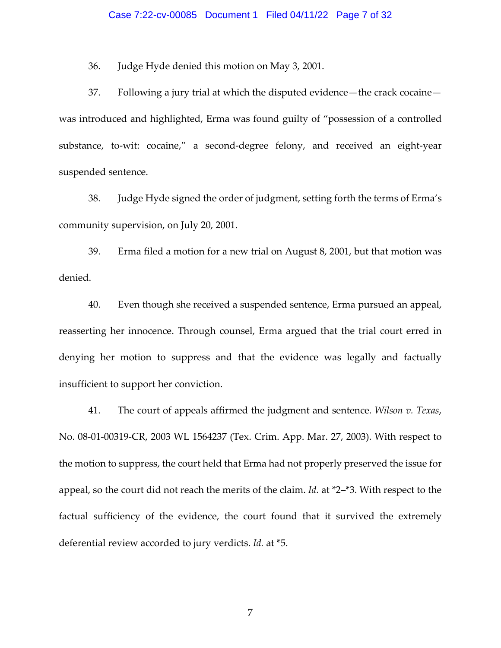#### Case 7:22-cv-00085 Document 1 Filed 04/11/22 Page 7 of 32

36. Judge Hyde denied this motion on May 3, 2001.

37. Following a jury trial at which the disputed evidence—the crack cocaine was introduced and highlighted, Erma was found guilty of "possession of a controlled substance, to-wit: cocaine," a second-degree felony, and received an eight-year suspended sentence.

38. Judge Hyde signed the order of judgment, setting forth the terms of Erma's community supervision, on July 20, 2001.

39. Erma filed a motion for a new trial on August 8, 2001, but that motion was denied.

40. Even though she received a suspended sentence, Erma pursued an appeal, reasserting her innocence. Through counsel, Erma argued that the trial court erred in denying her motion to suppress and that the evidence was legally and factually insufficient to support her conviction.

41. The court of appeals affirmed the judgment and sentence. *Wilson v. Texas*, No. 08-01-00319-CR, 2003 WL 1564237 (Tex. Crim. App. Mar. 27, 2003). With respect to the motion to suppress, the court held that Erma had not properly preserved the issue for appeal, so the court did not reach the merits of the claim. *Id.* at \*2–\*3. With respect to the factual sufficiency of the evidence, the court found that it survived the extremely deferential review accorded to jury verdicts. *Id.* at \*5.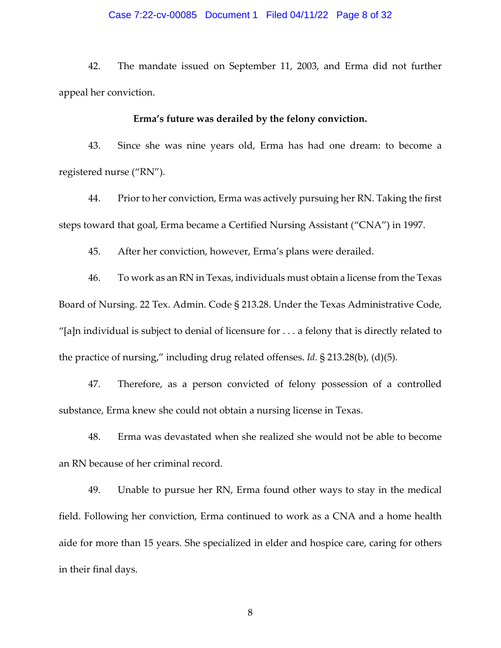#### Case 7:22-cv-00085 Document 1 Filed 04/11/22 Page 8 of 32

42. The mandate issued on September 11, 2003, and Erma did not further appeal her conviction.

#### **Erma's future was derailed by the felony conviction.**

43. Since she was nine years old, Erma has had one dream: to become a registered nurse ("RN").

44. Prior to her conviction, Erma was actively pursuing her RN. Taking the first steps toward that goal, Erma became a Certified Nursing Assistant ("CNA") in 1997.

45. After her conviction, however, Erma's plans were derailed.

46. To work as an RN in Texas, individuals must obtain a license from the Texas Board of Nursing. 22 Tex. Admin. Code § 213.28. Under the Texas Administrative Code, "[a]n individual is subject to denial of licensure for  $\dots$  a felony that is directly related to the practice of nursing," including drug related offenses. *Id.* § 213.28(b), (d)(5).

47. Therefore, as a person convicted of felony possession of a controlled substance, Erma knew she could not obtain a nursing license in Texas.

48. Erma was devastated when she realized she would not be able to become an RN because of her criminal record.

49. Unable to pursue her RN, Erma found other ways to stay in the medical field. Following her conviction, Erma continued to work as a CNA and a home health aide for more than 15 years. She specialized in elder and hospice care, caring for others in their final days.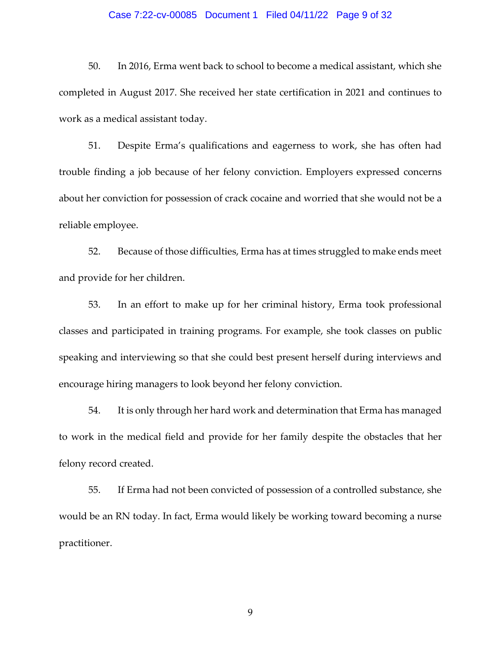## Case 7:22-cv-00085 Document 1 Filed 04/11/22 Page 9 of 32

50. In 2016, Erma went back to school to become a medical assistant, which she completed in August 2017. She received her state certification in 2021 and continues to work as a medical assistant today.

51. Despite Erma's qualifications and eagerness to work, she has often had trouble finding a job because of her felony conviction. Employers expressed concerns about her conviction for possession of crack cocaine and worried that she would not be a reliable employee.

52. Because of those difficulties, Erma has at times struggled to make ends meet and provide for her children.

53. In an effort to make up for her criminal history, Erma took professional classes and participated in training programs. For example, she took classes on public speaking and interviewing so that she could best present herself during interviews and encourage hiring managers to look beyond her felony conviction.

54. It is only through her hard work and determination that Erma has managed to work in the medical field and provide for her family despite the obstacles that her felony record created.

55. If Erma had not been convicted of possession of a controlled substance, she would be an RN today. In fact, Erma would likely be working toward becoming a nurse practitioner.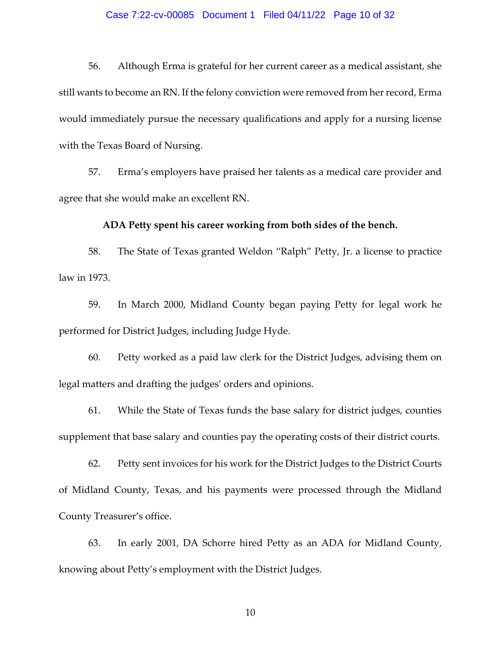#### Case 7:22-cv-00085 Document 1 Filed 04/11/22 Page 10 of 32

56. Although Erma is grateful for her current career as a medical assistant, she still wants to become an RN. If the felony conviction were removed from her record, Erma would immediately pursue the necessary qualifications and apply for a nursing license with the Texas Board of Nursing.

57. Erma's employers have praised her talents as a medical care provider and agree that she would make an excellent RN.

## **ADA Petty spent his career working from both sides of the bench.**

58. The State of Texas granted Weldon "Ralph" Petty, Jr. a license to practice law in 1973.

59. In March 2000, Midland County began paying Petty for legal work he performed for District Judges, including Judge Hyde.

60. Petty worked as a paid law clerk for the District Judges, advising them on legal matters and drafting the judges' orders and opinions.

61. While the State of Texas funds the base salary for district judges, counties supplement that base salary and counties pay the operating costs of their district courts.

62. Petty sent invoices for his work for the District Judges to the District Courts of Midland County, Texas, and his payments were processed through the Midland County Treasurer's office.

63. In early 2001, DA Schorre hired Petty as an ADA for Midland County, knowing about Petty's employment with the District Judges.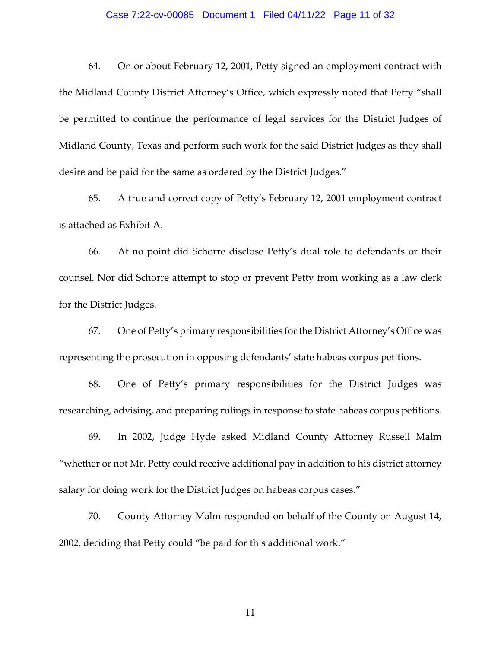## Case 7:22-cv-00085 Document 1 Filed 04/11/22 Page 11 of 32

64. On or about February 12, 2001, Petty signed an employment contract with the Midland County District Attorney's Office, which expressly noted that Petty "shall be permitted to continue the performance of legal services for the District Judges of Midland County, Texas and perform such work for the said District Judges as they shall desire and be paid for the same as ordered by the District Judges."

65. A true and correct copy of Petty's February 12, 2001 employment contract is attached as Exhibit A.

66. At no point did Schorre disclose Petty's dual role to defendants or their counsel. Nor did Schorre attempt to stop or prevent Petty from working as a law clerk for the District Judges.

67. One of Petty's primary responsibilities for the District Attorney's Office was representing the prosecution in opposing defendants' state habeas corpus petitions.

68. One of Petty's primary responsibilities for the District Judges was researching, advising, and preparing rulings in response to state habeas corpus petitions.

69. In 2002, Judge Hyde asked Midland County Attorney Russell Malm "whether or not Mr. Petty could receive additional pay in addition to his district attorney salary for doing work for the District Judges on habeas corpus cases."

70. County Attorney Malm responded on behalf of the County on August 14, 2002, deciding that Petty could "be paid for this additional work."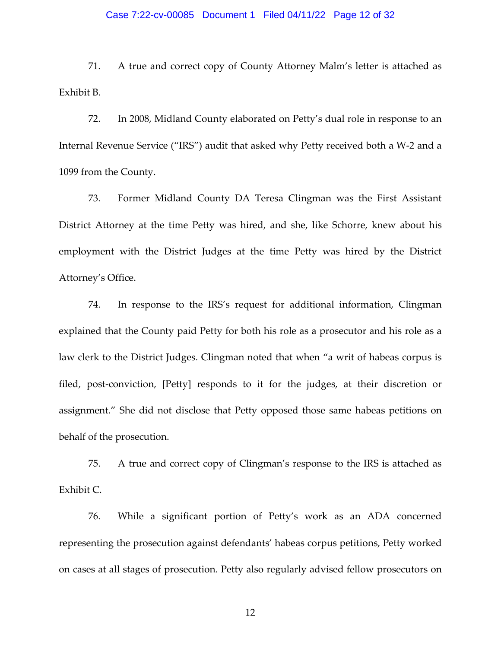## Case 7:22-cv-00085 Document 1 Filed 04/11/22 Page 12 of 32

71. A true and correct copy of County Attorney Malm's letter is attached as Exhibit B.

72. In 2008, Midland County elaborated on Petty's dual role in response to an Internal Revenue Service ("IRS") audit that asked why Petty received both a W-2 and a 1099 from the County.

73. Former Midland County DA Teresa Clingman was the First Assistant District Attorney at the time Petty was hired, and she, like Schorre, knew about his employment with the District Judges at the time Petty was hired by the District Attorney's Office.

74. In response to the IRS's request for additional information, Clingman explained that the County paid Petty for both his role as a prosecutor and his role as a law clerk to the District Judges. Clingman noted that when "a writ of habeas corpus is filed, post-conviction, [Petty] responds to it for the judges, at their discretion or assignment." She did not disclose that Petty opposed those same habeas petitions on behalf of the prosecution.

75. A true and correct copy of Clingman's response to the IRS is attached as Exhibit C.

76. While a significant portion of Petty's work as an ADA concerned representing the prosecution against defendants' habeas corpus petitions, Petty worked on cases at all stages of prosecution. Petty also regularly advised fellow prosecutors on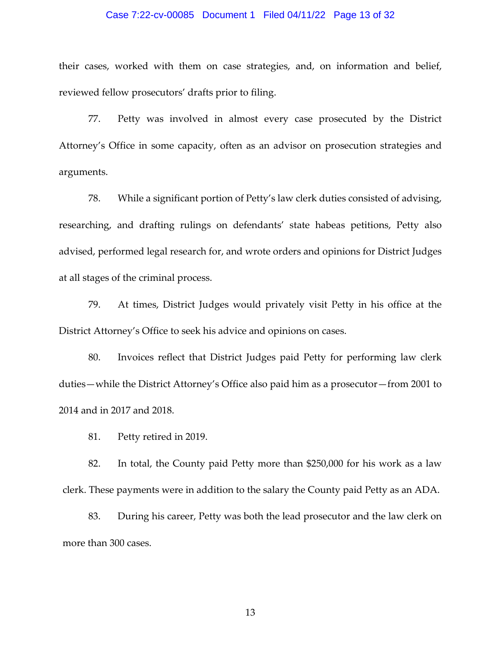## Case 7:22-cv-00085 Document 1 Filed 04/11/22 Page 13 of 32

their cases, worked with them on case strategies, and, on information and belief, reviewed fellow prosecutors' drafts prior to filing.

77. Petty was involved in almost every case prosecuted by the District Attorney's Office in some capacity, often as an advisor on prosecution strategies and arguments.

78. While a significant portion of Petty's law clerk duties consisted of advising, researching, and drafting rulings on defendants' state habeas petitions, Petty also advised, performed legal research for, and wrote orders and opinions for District Judges at all stages of the criminal process.

79. At times, District Judges would privately visit Petty in his office at the District Attorney's Office to seek his advice and opinions on cases.

80. Invoices reflect that District Judges paid Petty for performing law clerk duties—while the District Attorney's Office also paid him as a prosecutor—from 2001 to 2014 and in 2017 and 2018.

81. Petty retired in 2019.

82. In total, the County paid Petty more than \$250,000 for his work as a law clerk. These payments were in addition to the salary the County paid Petty as an ADA.

83. During his career, Petty was both the lead prosecutor and the law clerk on more than 300 cases.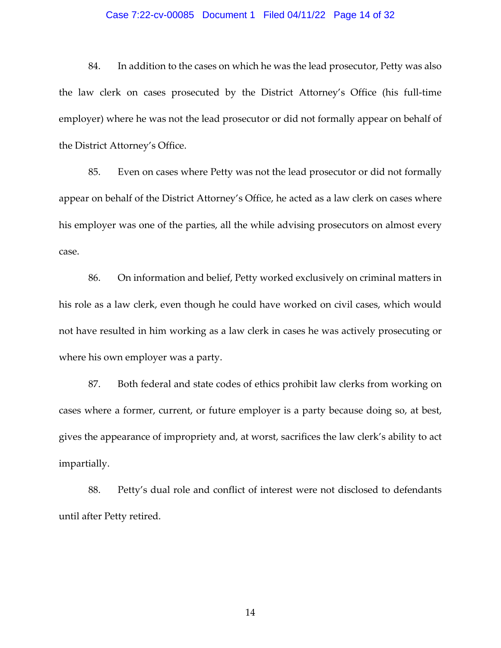## Case 7:22-cv-00085 Document 1 Filed 04/11/22 Page 14 of 32

84. In addition to the cases on which he was the lead prosecutor, Petty was also the law clerk on cases prosecuted by the District Attorney's Office (his full-time employer) where he was not the lead prosecutor or did not formally appear on behalf of the District Attorney's Office.

85. Even on cases where Petty was not the lead prosecutor or did not formally appear on behalf of the District Attorney's Office, he acted as a law clerk on cases where his employer was one of the parties, all the while advising prosecutors on almost every case.

86. On information and belief, Petty worked exclusively on criminal matters in his role as a law clerk, even though he could have worked on civil cases, which would not have resulted in him working as a law clerk in cases he was actively prosecuting or where his own employer was a party.

87. Both federal and state codes of ethics prohibit law clerks from working on cases where a former, current, or future employer is a party because doing so, at best, gives the appearance of impropriety and, at worst, sacrifices the law clerk's ability to act impartially.

88. Petty's dual role and conflict of interest were not disclosed to defendants until after Petty retired.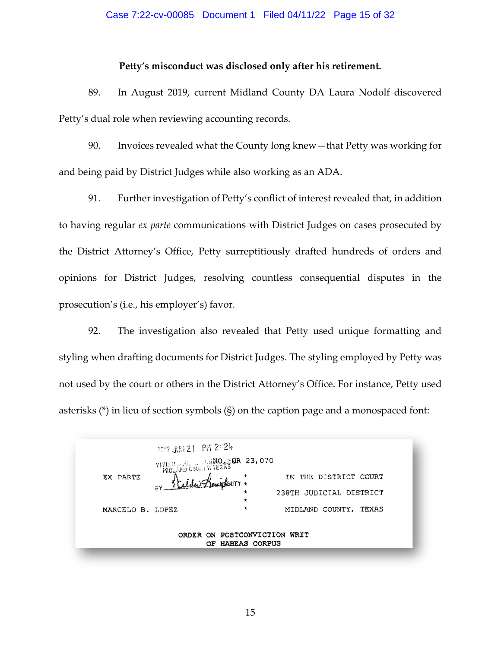#### Case 7:22-cv-00085 Document 1 Filed 04/11/22 Page 15 of 32

#### **Petty's misconduct was disclosed only after his retirement.**

89. In August 2019, current Midland County DA Laura Nodolf discovered Petty's dual role when reviewing accounting records.

90. Invoices revealed what the County long knew—that Petty was working for and being paid by District Judges while also working as an ADA.

91. Further investigation of Petty's conflict of interest revealed that, in addition to having regular *ex parte* communications with District Judges on cases prosecuted by the District Attorney's Office, Petty surreptitiously drafted hundreds of orders and opinions for District Judges, resolving countless consequential disputes in the prosecution's (i.e., his employer's) favor.

92. The investigation also revealed that Petty used unique formatting and styling when drafting documents for District Judges. The styling employed by Petty was not used by the court or others in the District Attorney's Office. For instance, Petty used asterisks (\*) in lieu of section symbols (§) on the caption page and a monospaced font:

|                                                  | $2^{2}$ $2^{1}$ $2^{1}$ $2^{1}$ $2^{1}$ $2^{1}$ |  |              |  |  |                         |  |  |  |
|--------------------------------------------------|-------------------------------------------------|--|--------------|--|--|-------------------------|--|--|--|
|                                                  | <b>YIYIS BERRI 23, 070</b>                      |  |              |  |  |                         |  |  |  |
| EX PARTE                                         | 3Y 1 Elder Zonigkerr +                          |  |              |  |  | IN THE DISTRICT COURT   |  |  |  |
|                                                  |                                                 |  | $\star$<br>* |  |  | 238TH JUDICIAL DISTRICT |  |  |  |
| MARCELO B. LOPEZ                                 |                                                 |  | $^\star$     |  |  | MIDLAND COUNTY, TEXAS   |  |  |  |
| ORDER ON POSTCONVICTION WRIT<br>OF HABEAS CORPUS |                                                 |  |              |  |  |                         |  |  |  |
|                                                  |                                                 |  |              |  |  |                         |  |  |  |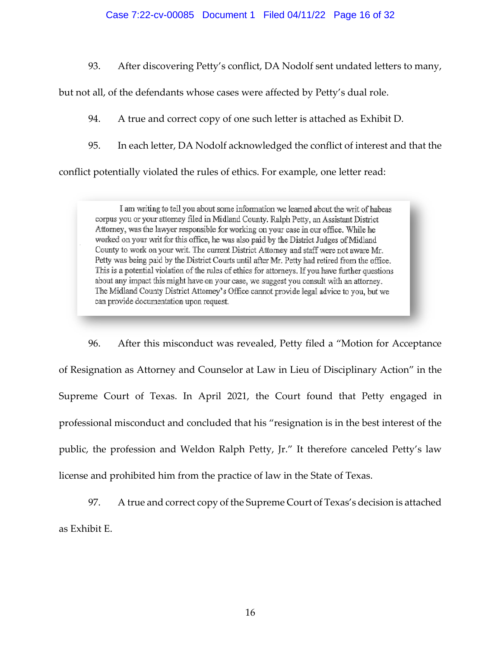#### Case 7:22-cv-00085 Document 1 Filed 04/11/22 Page 16 of 32

93. After discovering Petty's conflict, DA Nodolf sent undated letters to many,

but not all, of the defendants whose cases were affected by Petty's dual role.

94. A true and correct copy of one such letter is attached as Exhibit D.

95. In each letter, DA Nodolf acknowledged the conflict of interest and that the

conflict potentially violated the rules of ethics. For example, one letter read:

I am writing to tell you about some information we learned about the writ of habeas corpus you or your attorney filed in Midland County. Ralph Petty, an Assistant District Attorney, was the lawyer responsible for working on your case in our office. While he worked on your writ for this office, he was also paid by the District Judges of Midland County to work on your writ. The current District Attorney and staff were not aware Mr. Petty was being paid by the District Courts until after Mr. Petty had retired from the office. This is a potential violation of the rules of ethics for attorneys. If you have further questions about any impact this might have on your case, we suggest you consult with an attorney. The Midland County District Attorney's Office cannot provide legal advice to you, but we can provide documentation upon request.

96. After this misconduct was revealed, Petty filed a "Motion for Acceptance of Resignation as Attorney and Counselor at Law in Lieu of Disciplinary Action" in the Supreme Court of Texas. In April 2021, the Court found that Petty engaged in professional misconduct and concluded that his "resignation is in the best interest of the public, the profession and Weldon Ralph Petty, Jr." It therefore canceled Petty's law license and prohibited him from the practice of law in the State of Texas.

97. A true and correct copy of the Supreme Court of Texas's decision is attached as Exhibit E.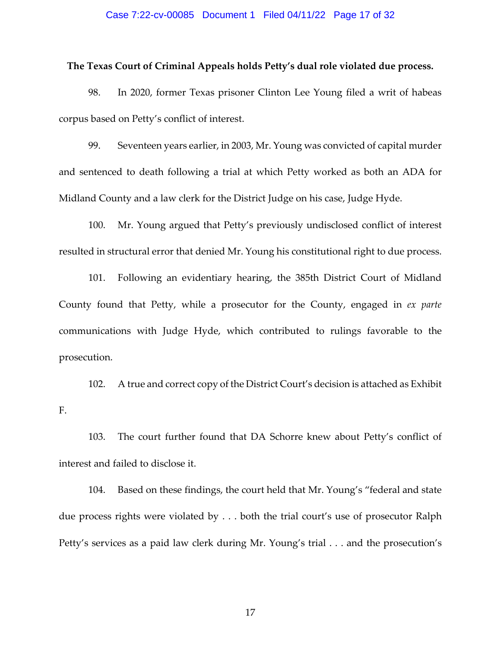#### Case 7:22-cv-00085 Document 1 Filed 04/11/22 Page 17 of 32

#### **The Texas Court of Criminal Appeals holds Petty's dual role violated due process.**

98. In 2020, former Texas prisoner Clinton Lee Young filed a writ of habeas corpus based on Petty's conflict of interest.

99. Seventeen years earlier, in 2003, Mr. Young was convicted of capital murder and sentenced to death following a trial at which Petty worked as both an ADA for Midland County and a law clerk for the District Judge on his case, Judge Hyde.

100. Mr. Young argued that Petty's previously undisclosed conflict of interest resulted in structural error that denied Mr. Young his constitutional right to due process.

101. Following an evidentiary hearing, the 385th District Court of Midland County found that Petty, while a prosecutor for the County, engaged in *ex parte*  communications with Judge Hyde, which contributed to rulings favorable to the prosecution.

102. A true and correct copy of the District Court's decision is attached as Exhibit F.

103. The court further found that DA Schorre knew about Petty's conflict of interest and failed to disclose it.

104. Based on these findings, the court held that Mr. Young's "federal and state due process rights were violated by . . . both the trial court's use of prosecutor Ralph Petty's services as a paid law clerk during Mr. Young's trial . . . and the prosecution's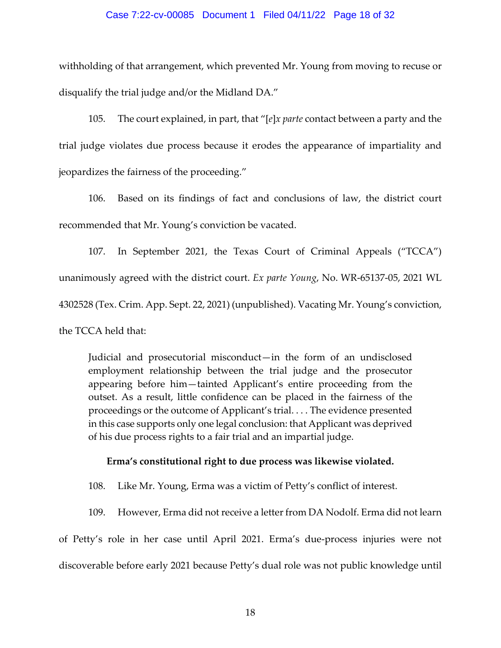#### Case 7:22-cv-00085 Document 1 Filed 04/11/22 Page 18 of 32

withholding of that arrangement, which prevented Mr. Young from moving to recuse or disqualify the trial judge and/or the Midland DA."

105. The court explained, in part, that "[*e*]*x parte* contact between a party and the trial judge violates due process because it erodes the appearance of impartiality and jeopardizes the fairness of the proceeding."

106. Based on its findings of fact and conclusions of law, the district court recommended that Mr. Young's conviction be vacated.

107. In September 2021, the Texas Court of Criminal Appeals ("TCCA") unanimously agreed with the district court. *Ex parte Young*, No. WR-65137-05, 2021 WL 4302528 (Tex. Crim. App. Sept. 22, 2021) (unpublished). Vacating Mr. Young's conviction, the TCCA held that:

Judicial and prosecutorial misconduct—in the form of an undisclosed employment relationship between the trial judge and the prosecutor appearing before him—tainted Applicant's entire proceeding from the outset. As a result, little confidence can be placed in the fairness of the proceedings or the outcome of Applicant's trial. . . . The evidence presented in this case supports only one legal conclusion: that Applicant was deprived of his due process rights to a fair trial and an impartial judge.

## **Erma's constitutional right to due process was likewise violated.**

108. Like Mr. Young, Erma was a victim of Petty's conflict of interest.

109. However, Erma did not receive a letter from DA Nodolf. Erma did not learn

of Petty's role in her case until April 2021. Erma's due-process injuries were not discoverable before early 2021 because Petty's dual role was not public knowledge until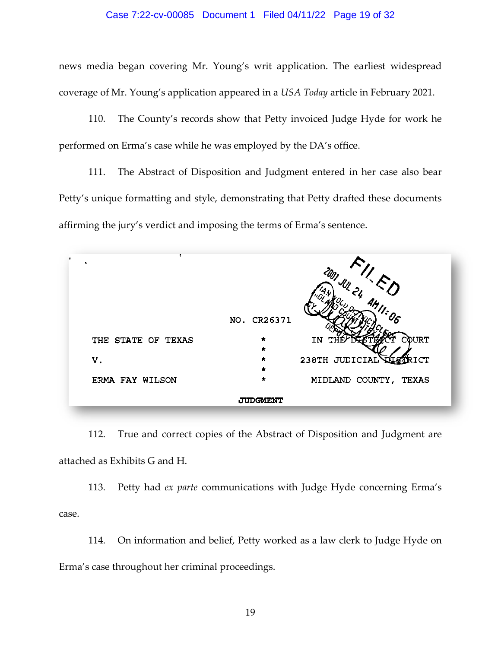#### Case 7:22-cv-00085 Document 1 Filed 04/11/22 Page 19 of 32

news media began covering Mr. Young's writ application. The earliest widespread coverage of Mr. Young's application appeared in a *USA Today* article in February 2021.

110. The County's records show that Petty invoiced Judge Hyde for work he performed on Erma's case while he was employed by the DA's office.

111. The Abstract of Disposition and Judgment entered in her case also bear Petty's unique formatting and style, demonstrating that Petty drafted these documents affirming the jury's verdict and imposing the terms of Erma's sentence.

|                    | NO. CR26371              |                         |
|--------------------|--------------------------|-------------------------|
|                    |                          |                         |
| THE STATE OF TEXAS | $\bullet$<br>$\pmb{\pi}$ | COURT<br>IN TI          |
| V.                 | $\hat{\mathbf{r}}$       | 238TH JUDICIAL<br>'RICT |
|                    | $\pmb{\pi}$              |                         |
| ERMA FAY WILSON    | $\star$                  | MIDLAND COUNTY, TEXAS   |

112. True and correct copies of the Abstract of Disposition and Judgment are attached as Exhibits G and H.

113. Petty had *ex parte* communications with Judge Hyde concerning Erma's case.

114. On information and belief, Petty worked as a law clerk to Judge Hyde on Erma's case throughout her criminal proceedings.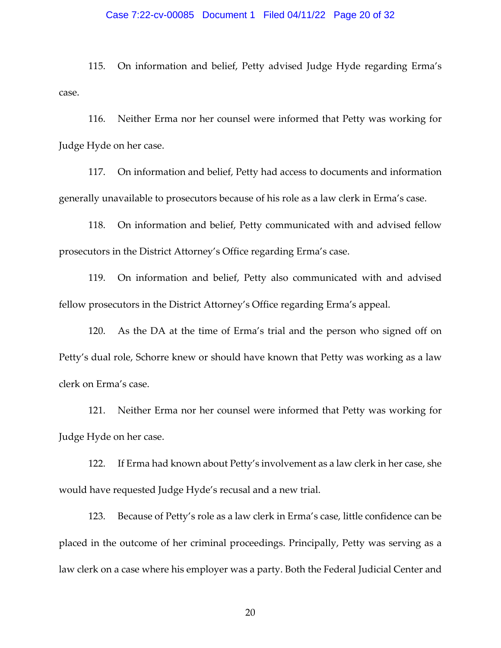#### Case 7:22-cv-00085 Document 1 Filed 04/11/22 Page 20 of 32

115. On information and belief, Petty advised Judge Hyde regarding Erma's case.

116. Neither Erma nor her counsel were informed that Petty was working for Judge Hyde on her case.

117. On information and belief, Petty had access to documents and information generally unavailable to prosecutors because of his role as a law clerk in Erma's case.

118. On information and belief, Petty communicated with and advised fellow prosecutors in the District Attorney's Office regarding Erma's case.

119. On information and belief, Petty also communicated with and advised fellow prosecutors in the District Attorney's Office regarding Erma's appeal.

120. As the DA at the time of Erma's trial and the person who signed off on Petty's dual role, Schorre knew or should have known that Petty was working as a law clerk on Erma's case.

121. Neither Erma nor her counsel were informed that Petty was working for Judge Hyde on her case.

122. If Erma had known about Petty's involvement as a law clerk in her case, she would have requested Judge Hyde's recusal and a new trial.

123. Because of Petty's role as a law clerk in Erma's case, little confidence can be placed in the outcome of her criminal proceedings. Principally, Petty was serving as a law clerk on a case where his employer was a party. Both the Federal Judicial Center and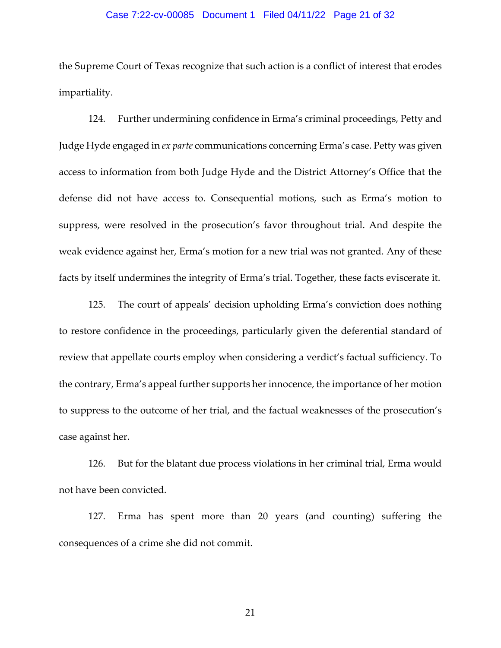## Case 7:22-cv-00085 Document 1 Filed 04/11/22 Page 21 of 32

the Supreme Court of Texas recognize that such action is a conflict of interest that erodes impartiality.

124. Further undermining confidence in Erma's criminal proceedings, Petty and Judge Hyde engaged in *ex parte* communications concerning Erma's case. Petty was given access to information from both Judge Hyde and the District Attorney's Office that the defense did not have access to. Consequential motions, such as Erma's motion to suppress, were resolved in the prosecution's favor throughout trial. And despite the weak evidence against her, Erma's motion for a new trial was not granted. Any of these facts by itself undermines the integrity of Erma's trial. Together, these facts eviscerate it.

125. The court of appeals' decision upholding Erma's conviction does nothing to restore confidence in the proceedings, particularly given the deferential standard of review that appellate courts employ when considering a verdict's factual sufficiency. To the contrary, Erma's appeal further supports her innocence, the importance of her motion to suppress to the outcome of her trial, and the factual weaknesses of the prosecution's case against her.

126. But for the blatant due process violations in her criminal trial, Erma would not have been convicted.

127. Erma has spent more than 20 years (and counting) suffering the consequences of a crime she did not commit.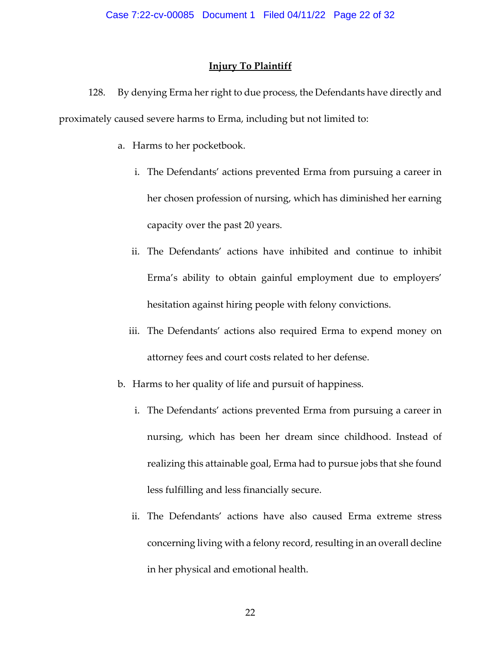## **Injury To Plaintiff**

128. By denying Erma her right to due process, the Defendants have directly and proximately caused severe harms to Erma, including but not limited to:

- a. Harms to her pocketbook.
	- i. The Defendants' actions prevented Erma from pursuing a career in her chosen profession of nursing, which has diminished her earning capacity over the past 20 years.
	- ii. The Defendants' actions have inhibited and continue to inhibit Erma's ability to obtain gainful employment due to employers' hesitation against hiring people with felony convictions.
	- iii. The Defendants' actions also required Erma to expend money on attorney fees and court costs related to her defense.
- b. Harms to her quality of life and pursuit of happiness.
	- i. The Defendants' actions prevented Erma from pursuing a career in nursing, which has been her dream since childhood. Instead of realizing this attainable goal, Erma had to pursue jobs that she found less fulfilling and less financially secure.
	- ii. The Defendants' actions have also caused Erma extreme stress concerning living with a felony record, resulting in an overall decline in her physical and emotional health.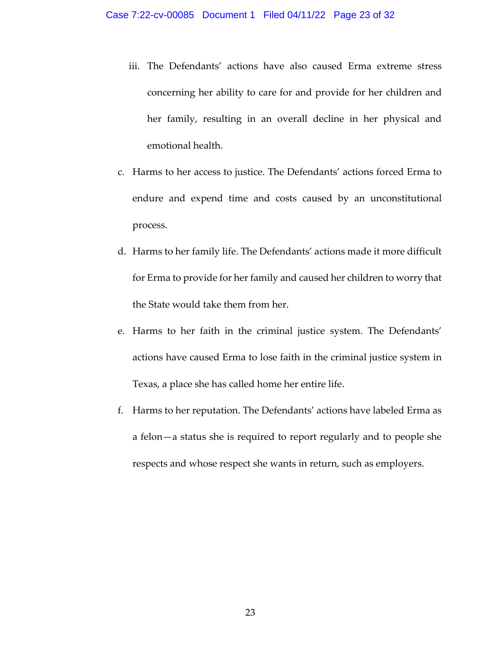- iii. The Defendants' actions have also caused Erma extreme stress concerning her ability to care for and provide for her children and her family, resulting in an overall decline in her physical and emotional health.
- c. Harms to her access to justice. The Defendants' actions forced Erma to endure and expend time and costs caused by an unconstitutional process.
- d. Harms to her family life. The Defendants' actions made it more difficult for Erma to provide for her family and caused her children to worry that the State would take them from her.
- e. Harms to her faith in the criminal justice system. The Defendants' actions have caused Erma to lose faith in the criminal justice system in Texas, a place she has called home her entire life.
- f. Harms to her reputation. The Defendants' actions have labeled Erma as a felon—a status she is required to report regularly and to people she respects and whose respect she wants in return, such as employers.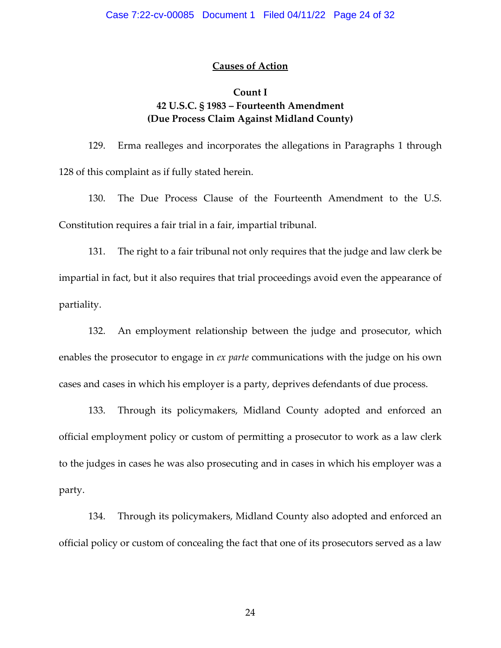## **Causes of Action**

## **Count I 42 U.S.C. § 1983 – Fourteenth Amendment (Due Process Claim Against Midland County)**

129. Erma realleges and incorporates the allegations in Paragraphs 1 through 128 of this complaint as if fully stated herein.

130. The Due Process Clause of the Fourteenth Amendment to the U.S. Constitution requires a fair trial in a fair, impartial tribunal.

131. The right to a fair tribunal not only requires that the judge and law clerk be impartial in fact, but it also requires that trial proceedings avoid even the appearance of partiality.

132. An employment relationship between the judge and prosecutor, which enables the prosecutor to engage in *ex parte* communications with the judge on his own cases and cases in which his employer is a party, deprives defendants of due process.

133. Through its policymakers, Midland County adopted and enforced an official employment policy or custom of permitting a prosecutor to work as a law clerk to the judges in cases he was also prosecuting and in cases in which his employer was a party.

134. Through its policymakers, Midland County also adopted and enforced an official policy or custom of concealing the fact that one of its prosecutors served as a law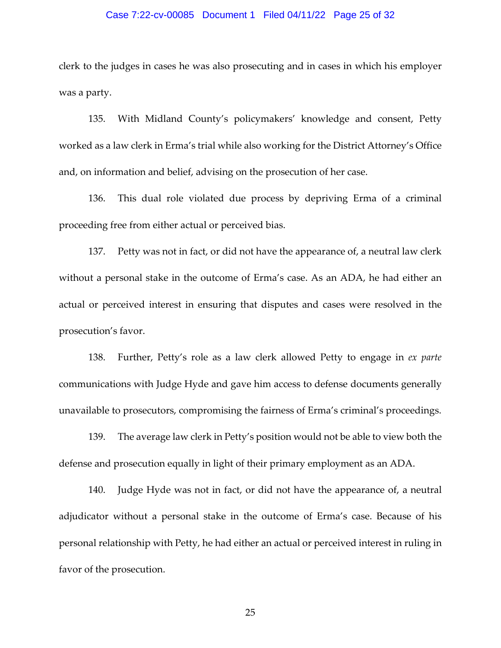#### Case 7:22-cv-00085 Document 1 Filed 04/11/22 Page 25 of 32

clerk to the judges in cases he was also prosecuting and in cases in which his employer was a party.

135. With Midland County's policymakers' knowledge and consent, Petty worked as a law clerk in Erma's trial while also working for the District Attorney's Office and, on information and belief, advising on the prosecution of her case.

136. This dual role violated due process by depriving Erma of a criminal proceeding free from either actual or perceived bias.

137. Petty was not in fact, or did not have the appearance of, a neutral law clerk without a personal stake in the outcome of Erma's case. As an ADA, he had either an actual or perceived interest in ensuring that disputes and cases were resolved in the prosecution's favor.

138. Further, Petty's role as a law clerk allowed Petty to engage in *ex parte*  communications with Judge Hyde and gave him access to defense documents generally unavailable to prosecutors, compromising the fairness of Erma's criminal's proceedings.

139. The average law clerk in Petty's position would not be able to view both the defense and prosecution equally in light of their primary employment as an ADA.

140. Judge Hyde was not in fact, or did not have the appearance of, a neutral adjudicator without a personal stake in the outcome of Erma's case. Because of his personal relationship with Petty, he had either an actual or perceived interest in ruling in favor of the prosecution.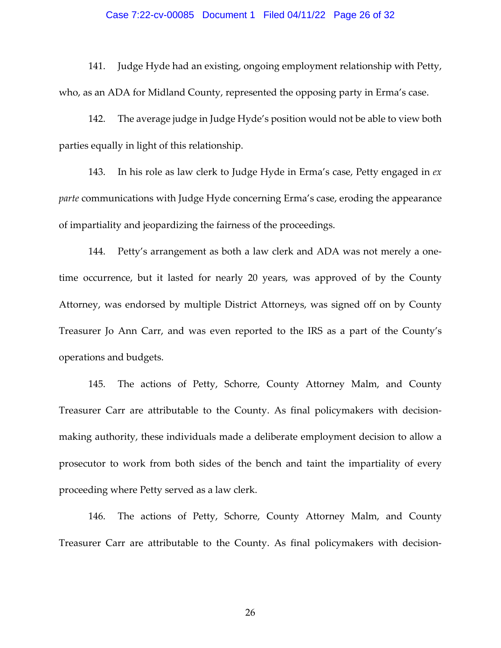#### Case 7:22-cv-00085 Document 1 Filed 04/11/22 Page 26 of 32

141. Judge Hyde had an existing, ongoing employment relationship with Petty, who, as an ADA for Midland County, represented the opposing party in Erma's case.

142. The average judge in Judge Hyde's position would not be able to view both parties equally in light of this relationship.

143. In his role as law clerk to Judge Hyde in Erma's case, Petty engaged in *ex parte* communications with Judge Hyde concerning Erma's case, eroding the appearance of impartiality and jeopardizing the fairness of the proceedings.

144. Petty's arrangement as both a law clerk and ADA was not merely a onetime occurrence, but it lasted for nearly 20 years, was approved of by the County Attorney, was endorsed by multiple District Attorneys, was signed off on by County Treasurer Jo Ann Carr, and was even reported to the IRS as a part of the County's operations and budgets.

145. The actions of Petty, Schorre, County Attorney Malm, and County Treasurer Carr are attributable to the County. As final policymakers with decisionmaking authority, these individuals made a deliberate employment decision to allow a prosecutor to work from both sides of the bench and taint the impartiality of every proceeding where Petty served as a law clerk.

146. The actions of Petty, Schorre, County Attorney Malm, and County Treasurer Carr are attributable to the County. As final policymakers with decision-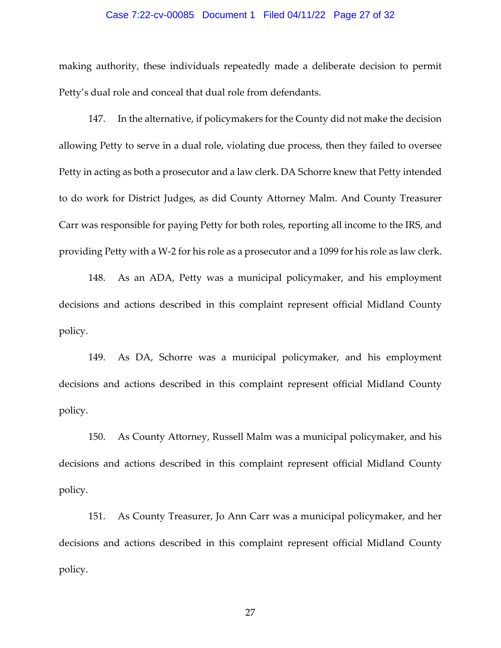## Case 7:22-cv-00085 Document 1 Filed 04/11/22 Page 27 of 32

making authority, these individuals repeatedly made a deliberate decision to permit Petty's dual role and conceal that dual role from defendants.

147. In the alternative, if policymakers for the County did not make the decision allowing Petty to serve in a dual role, violating due process, then they failed to oversee Petty in acting as both a prosecutor and a law clerk. DA Schorre knew that Petty intended to do work for District Judges, as did County Attorney Malm. And County Treasurer Carr was responsible for paying Petty for both roles, reporting all income to the IRS, and providing Petty with a W-2 for his role as a prosecutor and a 1099 for his role as law clerk.

148. As an ADA, Petty was a municipal policymaker, and his employment decisions and actions described in this complaint represent official Midland County policy.

149. As DA, Schorre was a municipal policymaker, and his employment decisions and actions described in this complaint represent official Midland County policy.

150. As County Attorney, Russell Malm was a municipal policymaker, and his decisions and actions described in this complaint represent official Midland County policy.

151. As County Treasurer, Jo Ann Carr was a municipal policymaker, and her decisions and actions described in this complaint represent official Midland County policy.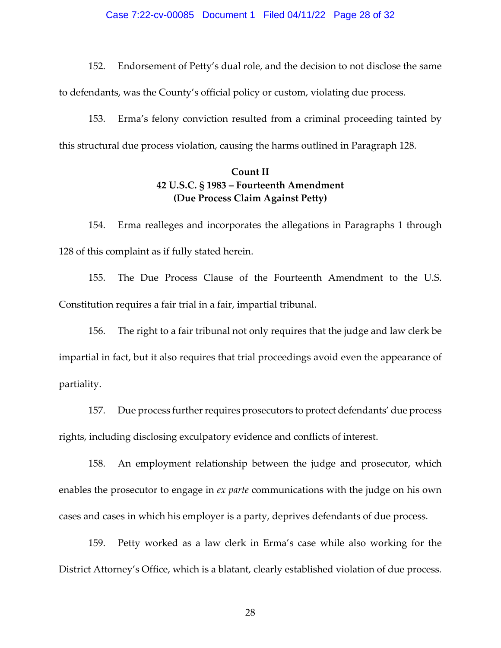#### Case 7:22-cv-00085 Document 1 Filed 04/11/22 Page 28 of 32

152. Endorsement of Petty's dual role, and the decision to not disclose the same

to defendants, was the County's official policy or custom, violating due process.

153. Erma's felony conviction resulted from a criminal proceeding tainted by this structural due process violation, causing the harms outlined in Paragraph 128.

# **Count II 42 U.S.C. § 1983 – Fourteenth Amendment (Due Process Claim Against Petty)**

154. Erma realleges and incorporates the allegations in Paragraphs 1 through 128 of this complaint as if fully stated herein.

155. The Due Process Clause of the Fourteenth Amendment to the U.S. Constitution requires a fair trial in a fair, impartial tribunal.

156. The right to a fair tribunal not only requires that the judge and law clerk be impartial in fact, but it also requires that trial proceedings avoid even the appearance of partiality.

157. Due process further requires prosecutors to protect defendants' due process rights, including disclosing exculpatory evidence and conflicts of interest.

158. An employment relationship between the judge and prosecutor, which enables the prosecutor to engage in *ex parte* communications with the judge on his own cases and cases in which his employer is a party, deprives defendants of due process.

159. Petty worked as a law clerk in Erma's case while also working for the District Attorney's Office, which is a blatant, clearly established violation of due process.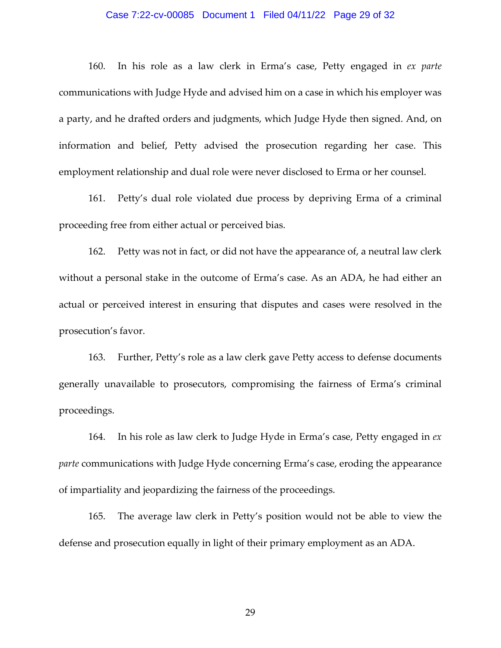#### Case 7:22-cv-00085 Document 1 Filed 04/11/22 Page 29 of 32

160. In his role as a law clerk in Erma's case, Petty engaged in *ex parte*  communications with Judge Hyde and advised him on a case in which his employer was a party, and he drafted orders and judgments, which Judge Hyde then signed. And, on information and belief, Petty advised the prosecution regarding her case. This employment relationship and dual role were never disclosed to Erma or her counsel.

161. Petty's dual role violated due process by depriving Erma of a criminal proceeding free from either actual or perceived bias.

162. Petty was not in fact, or did not have the appearance of, a neutral law clerk without a personal stake in the outcome of Erma's case. As an ADA, he had either an actual or perceived interest in ensuring that disputes and cases were resolved in the prosecution's favor.

163. Further, Petty's role as a law clerk gave Petty access to defense documents generally unavailable to prosecutors, compromising the fairness of Erma's criminal proceedings.

164. In his role as law clerk to Judge Hyde in Erma's case, Petty engaged in *ex parte* communications with Judge Hyde concerning Erma's case, eroding the appearance of impartiality and jeopardizing the fairness of the proceedings.

165. The average law clerk in Petty's position would not be able to view the defense and prosecution equally in light of their primary employment as an ADA.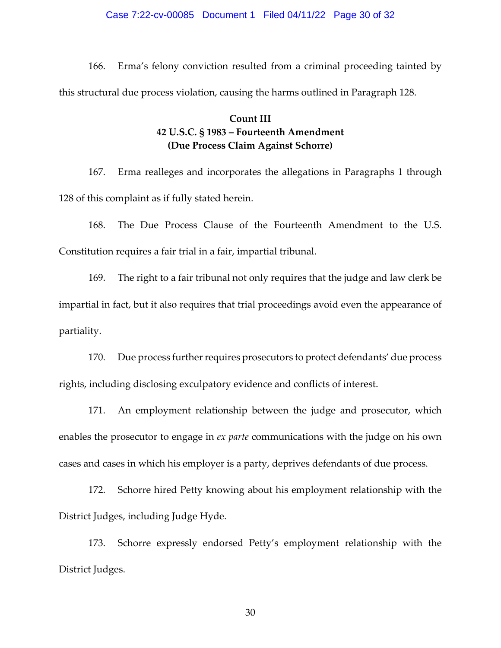#### Case 7:22-cv-00085 Document 1 Filed 04/11/22 Page 30 of 32

166. Erma's felony conviction resulted from a criminal proceeding tainted by this structural due process violation, causing the harms outlined in Paragraph 128.

## **Count III 42 U.S.C. § 1983 – Fourteenth Amendment (Due Process Claim Against Schorre)**

167. Erma realleges and incorporates the allegations in Paragraphs 1 through 128 of this complaint as if fully stated herein.

168. The Due Process Clause of the Fourteenth Amendment to the U.S. Constitution requires a fair trial in a fair, impartial tribunal.

169. The right to a fair tribunal not only requires that the judge and law clerk be impartial in fact, but it also requires that trial proceedings avoid even the appearance of partiality.

170. Due process further requires prosecutors to protect defendants' due process rights, including disclosing exculpatory evidence and conflicts of interest.

171. An employment relationship between the judge and prosecutor, which enables the prosecutor to engage in *ex parte* communications with the judge on his own cases and cases in which his employer is a party, deprives defendants of due process.

172. Schorre hired Petty knowing about his employment relationship with the District Judges, including Judge Hyde.

173. Schorre expressly endorsed Petty's employment relationship with the District Judges.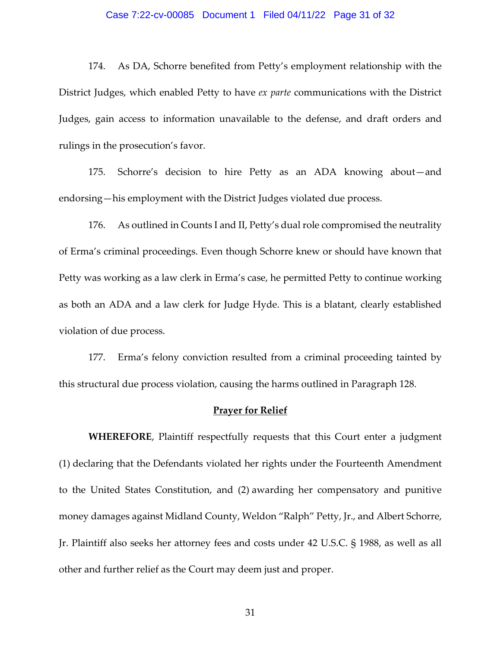#### Case 7:22-cv-00085 Document 1 Filed 04/11/22 Page 31 of 32

174. As DA, Schorre benefited from Petty's employment relationship with the District Judges, which enabled Petty to have *ex parte* communications with the District Judges, gain access to information unavailable to the defense, and draft orders and rulings in the prosecution's favor.

175. Schorre's decision to hire Petty as an ADA knowing about—and endorsing—his employment with the District Judges violated due process.

176. As outlined in Counts I and II, Petty's dual role compromised the neutrality of Erma's criminal proceedings. Even though Schorre knew or should have known that Petty was working as a law clerk in Erma's case, he permitted Petty to continue working as both an ADA and a law clerk for Judge Hyde. This is a blatant, clearly established violation of due process.

177. Erma's felony conviction resulted from a criminal proceeding tainted by this structural due process violation, causing the harms outlined in Paragraph 128.

#### **Prayer for Relief**

**WHEREFORE**, Plaintiff respectfully requests that this Court enter a judgment (1) declaring that the Defendants violated her rights under the Fourteenth Amendment to the United States Constitution, and (2) awarding her compensatory and punitive money damages against Midland County, Weldon "Ralph" Petty, Jr., and Albert Schorre, Jr. Plaintiff also seeks her attorney fees and costs under 42 U.S.C. § 1988, as well as all other and further relief as the Court may deem just and proper.